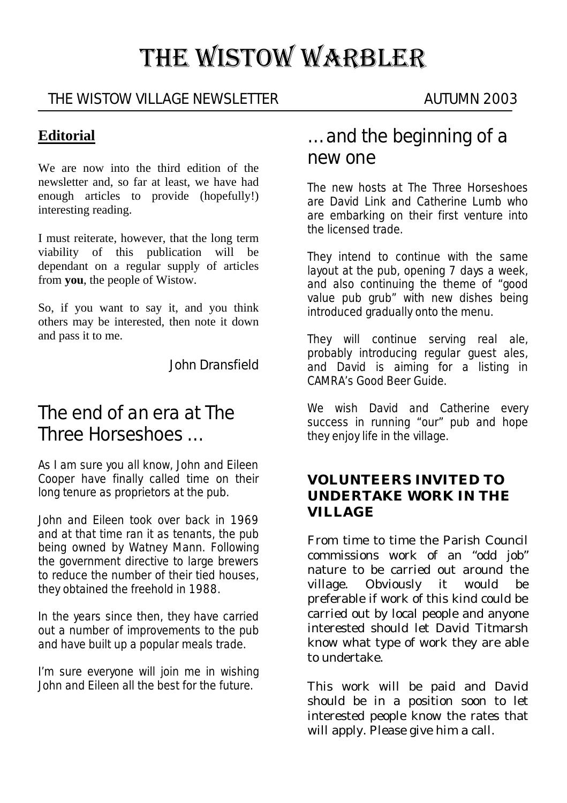# THE WISTOW WARBLER

## THE WISTOW VILLAGE NEWSLETTER AUTUMN 2003

## **Editorial**

We are now into the third edition of the newsletter and, so far at least, we have had enough articles to provide (hopefully!) interesting reading.

I must reiterate, however, that the long term viability of this publication will be dependant on a regular supply of articles from **you**, the people of Wistow.

So, if you want to say it, and you think others may be interested, then note it down and pass it to me.

John Dransfield

# The end of an era at The Three Horseshoes …

As I am sure you all know, John and Eileen Cooper have finally called time on their long tenure as proprietors at the pub.

John and Eileen took over back in 1969 and at that time ran it as tenants, the pub being owned by Watney Mann. Following the government directive to large brewers to reduce the number of their tied houses, they obtained the freehold in 1988.

In the years since then, they have carried out a number of improvements to the pub and have built up a popular meals trade.

I'm sure everyone will join me in wishing John and Eileen all the best for the future.

## … and the beginning of a new one

The new hosts at The Three Horseshoes are David Link and Catherine Lumb who are embarking on their first venture into the licensed trade.

They intend to continue with the same layout at the pub, opening 7 days a week, and also continuing the theme of "good value pub grub" with new dishes being introduced gradually onto the menu.

They will continue serving real ale, probably introducing regular guest ales, and David is aiming for a listing in CAMRA's Good Beer Guide.

We wish David and Catherine every success in running "our" pub and hope they enjoy life in the village.

#### **VOLUNTEERS INVITED TO UNDERTAKE WORK IN THE VILLAGE**

From time to time the Parish Council commissions work of an "odd job" nature to be carried out around the village. Obviously it would be preferable if work of this kind could be carried out by local people and anyone interested should let David Titmarsh know what type of work they are able to undertake.

This work will be paid and David should be in a position soon to let interested people know the rates that will apply. Please give him a call.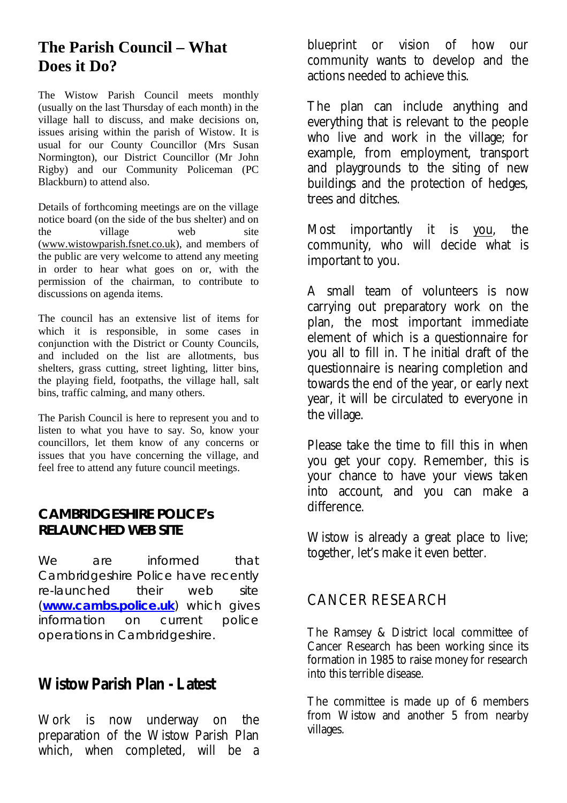## **The Parish Council – What Does it Do?**

The Wistow Parish Council meets monthly (usually on the last Thursday of each month) in the village hall to discuss, and make decisions on, issues arising within the parish of Wistow. It is usual for our County Councillor (Mrs Susan Normington), our District Councillor (Mr John Rigby) and our Community Policeman (PC Blackburn) to attend also.

Details of forthcoming meetings are on the village notice board (on the side of the bus shelter) and on the village web site (www.wistowparish.fsnet.co.uk), and members of the public are very welcome to attend any meeting in order to hear what goes on or, with the permission of the chairman, to contribute to discussions on agenda items.

The council has an extensive list of items for which it is responsible, in some cases in conjunction with the District or County Councils, and included on the list are allotments, bus shelters, grass cutting, street lighting, litter bins, the playing field, footpaths, the village hall, salt bins, traffic calming, and many others.

The Parish Council is here to represent you and to listen to what you have to say. So, know your councillors, let them know of any concerns or issues that you have concerning the village, and feel free to attend any future council meetings.

#### **CAMBRIDGESHIRE POLICE's RELAUNCHED WEB SITE**

We are informed that Cambridgeshire Police have recently re-launched their web site (**www.cambs.police.uk**) which gives information on current police operations in Cambridgeshire.

## **Wistow Parish Plan - Latest**

Work is now underway on the preparation of the Wistow Parish Plan which, when completed, will be a blueprint or vision of how our community wants to develop and the actions needed to achieve this.

The plan can include anything and everything that is relevant to the people who live and work in the village; for example, from employment, transport and playgrounds to the siting of new buildings and the protection of hedges, trees and ditches.

Most importantly it is you, the community, who will decide what is important to you.

A small team of volunteers is now carrying out preparatory work on the plan, the most important immediate element of which is a questionnaire for you all to fill in. The initial draft of the questionnaire is nearing completion and towards the end of the year, or early next year, it will be circulated to everyone in the village.

Please take the time to fill this in when you get your copy. Remember, this is your chance to have your views taken into account, and you *can* make a difference.

Wistow is already a great place to live; together, let's make it even better.

## CANCER RESEARCH

The Ramsey & District local committee of Cancer Research has been working since its formation in 1985 to raise money for research into this terrible disease.

The committee is made up of 6 members from Wistow and another 5 from nearby villages.